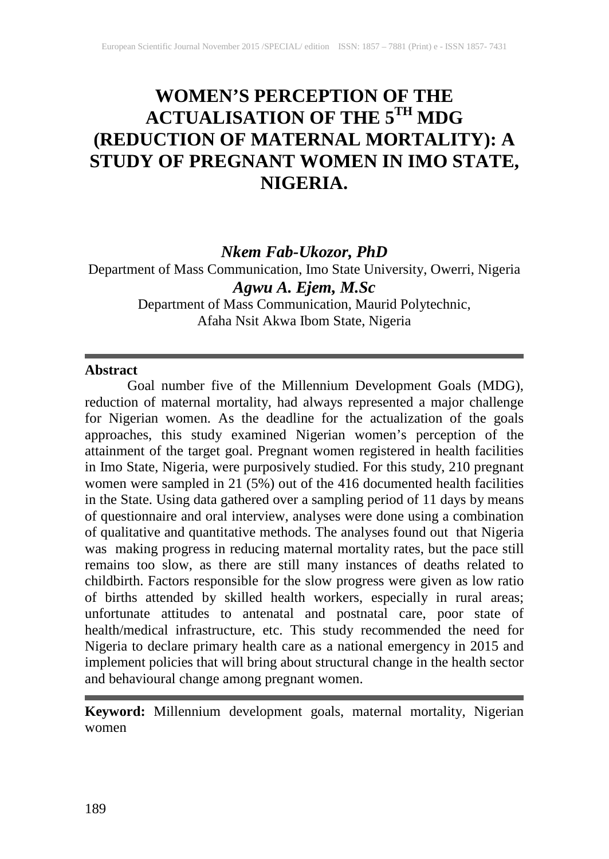# **WOMEN'S PERCEPTION OF THE ACTUALISATION OF THE 5TH MDG (REDUCTION OF MATERNAL MORTALITY): A STUDY OF PREGNANT WOMEN IN IMO STATE, NIGERIA.**

# *Nkem Fab-Ukozor, PhD*

Department of Mass Communication, Imo State University, Owerri, Nigeria *Agwu A. Ejem, M.Sc*

Department of Mass Communication, Maurid Polytechnic, Afaha Nsit Akwa Ibom State, Nigeria

#### **Abstract**

Goal number five of the Millennium Development Goals (MDG), reduction of maternal mortality, had always represented a major challenge for Nigerian women. As the deadline for the actualization of the goals approaches, this study examined Nigerian women's perception of the attainment of the target goal. Pregnant women registered in health facilities in Imo State, Nigeria, were purposively studied. For this study, 210 pregnant women were sampled in 21 (5%) out of the 416 documented health facilities in the State. Using data gathered over a sampling period of 11 days by means of questionnaire and oral interview, analyses were done using a combination of qualitative and quantitative methods. The analyses found out that Nigeria was making progress in reducing maternal mortality rates, but the pace still remains too slow, as there are still many instances of deaths related to childbirth. Factors responsible for the slow progress were given as low ratio of births attended by skilled health workers, especially in rural areas; unfortunate attitudes to antenatal and postnatal care, poor state of health/medical infrastructure, etc. This study recommended the need for Nigeria to declare primary health care as a national emergency in 2015 and implement policies that will bring about structural change in the health sector and behavioural change among pregnant women.

**Keyword:** Millennium development goals, maternal mortality, Nigerian women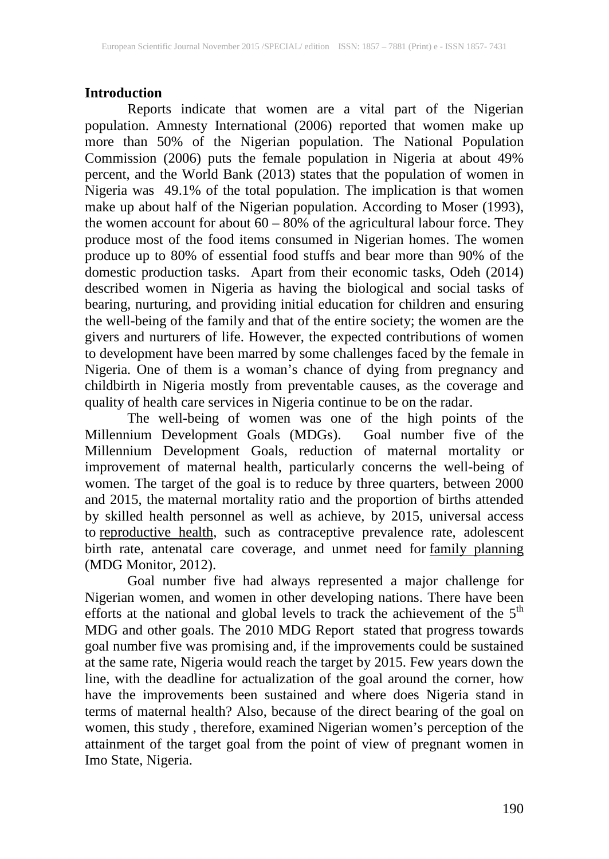## **Introduction**

Reports indicate that women are a vital part of the Nigerian population. Amnesty International (2006) reported that women make up more than 50% of the Nigerian population. The National Population Commission (2006) puts the female population in Nigeria at about 49% percent, and the World Bank (2013) states that the population of women in Nigeria was 49.1% of the total population. The implication is that women make up about half of the Nigerian population. According to Moser (1993), the women account for about 60 – 80% of the agricultural labour force. They produce most of the food items consumed in Nigerian homes. The women produce up to 80% of essential food stuffs and bear more than 90% of the domestic production tasks. Apart from their economic tasks, Odeh (2014) described women in Nigeria as having the biological and social tasks of bearing, nurturing, and providing initial education for children and ensuring the well-being of the family and that of the entire society; the women are the givers and nurturers of life. However, the expected contributions of women to development have been marred by some challenges faced by the female in Nigeria. One of them is a woman's chance of dying from pregnancy and childbirth in Nigeria mostly from preventable causes, as the coverage and quality of health care services in Nigeria continue to be on the radar.

The well-being of women was one of the high points of the Millennium Development Goals (MDGs). Goal number five of the Millennium Development Goals, reduction of maternal mortality or improvement of maternal health, particularly concerns the well-being of women. The target of the goal is to reduce by three quarters, between 2000 and 2015, the maternal mortality ratio and the proportion of births attended by skilled health personnel as well as achieve, by 2015, universal access to [reproductive health,](http://en.wikipedia.org/wiki/Reproductive_health) such as contraceptive prevalence rate, adolescent birth rate, antenatal care coverage, and unmet need for [family planning](http://en.wikipedia.org/wiki/Family_planning) (MDG Monitor, 2012).

Goal number five had always represented a major challenge for Nigerian women, and women in other developing nations. There have been efforts at the national and global levels to track the achievement of the  $5<sup>th</sup>$ MDG and other goals. The 2010 MDG Report stated that progress towards goal number five was promising and, if the improvements could be sustained at the same rate, Nigeria would reach the target by 2015. Few years down the line, with the deadline for actualization of the goal around the corner, how have the improvements been sustained and where does Nigeria stand in terms of maternal health? Also, because of the direct bearing of the goal on women, this study , therefore, examined Nigerian women's perception of the attainment of the target goal from the point of view of pregnant women in Imo State, Nigeria.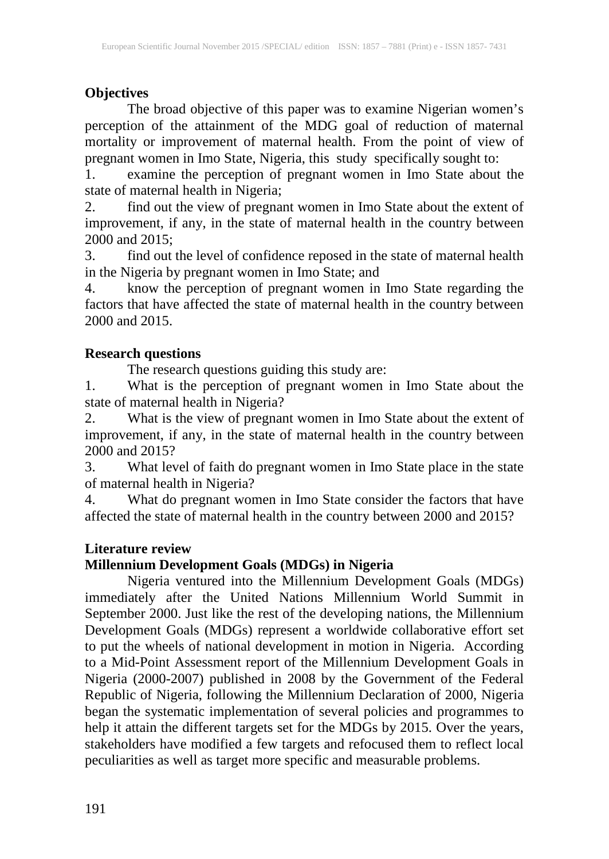# **Objectives**

The broad objective of this paper was to examine Nigerian women's perception of the attainment of the MDG goal of reduction of maternal mortality or improvement of maternal health. From the point of view of pregnant women in Imo State, Nigeria, this study specifically sought to:

1. examine the perception of pregnant women in Imo State about the state of maternal health in Nigeria;<br>2. find out the view of pregnal

find out the view of pregnant women in Imo State about the extent of improvement, if any, in the state of maternal health in the country between 2000 and 2015;

3. find out the level of confidence reposed in the state of maternal health in the Nigeria by pregnant women in Imo State; and

4. know the perception of pregnant women in Imo State regarding the factors that have affected the state of maternal health in the country between 2000 and 2015.

# **Research questions**

The research questions guiding this study are:

1. What is the perception of pregnant women in Imo State about the state of maternal health in Nigeria?

2. What is the view of pregnant women in Imo State about the extent of improvement, if any, in the state of maternal health in the country between 2000 and 2015?

3. What level of faith do pregnant women in Imo State place in the state of maternal health in Nigeria?

4. What do pregnant women in Imo State consider the factors that have affected the state of maternal health in the country between 2000 and 2015?

# **Literature review**

# **Millennium Development Goals (MDGs) in Nigeria**

Nigeria ventured into the Millennium Development Goals (MDGs) immediately after the United Nations Millennium World Summit in September 2000. Just like the rest of the developing nations, the Millennium Development Goals (MDGs) represent a worldwide collaborative effort set to put the wheels of national development in motion in Nigeria. According to a Mid-Point Assessment report of the Millennium Development Goals in Nigeria (2000-2007) published in 2008 by the Government of the Federal Republic of Nigeria, following the Millennium Declaration of 2000, Nigeria began the systematic implementation of several policies and programmes to help it attain the different targets set for the MDGs by 2015. Over the years, stakeholders have modified a few targets and refocused them to reflect local peculiarities as well as target more specific and measurable problems.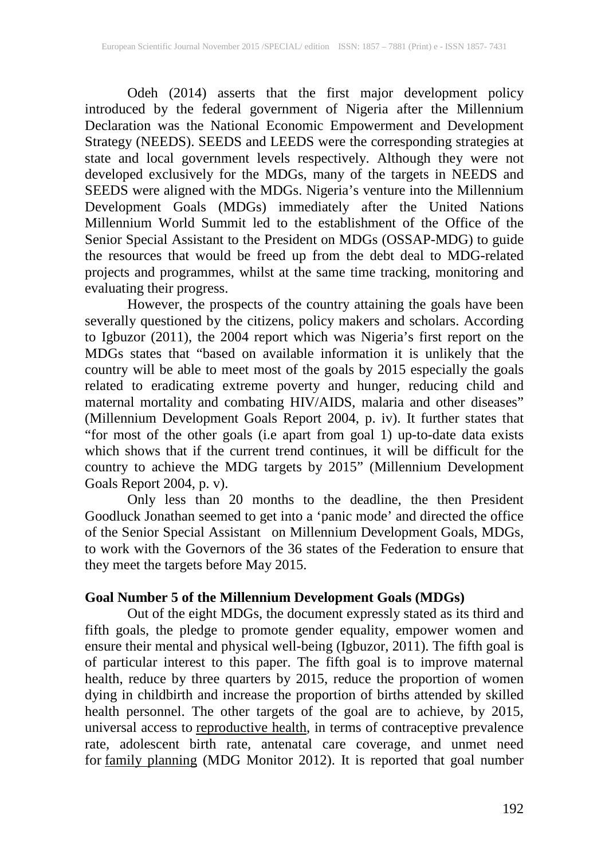Odeh (2014) asserts that the first major development policy introduced by the federal government of Nigeria after the Millennium Declaration was the National Economic Empowerment and Development Strategy (NEEDS). SEEDS and LEEDS were the corresponding strategies at state and local government levels respectively. Although they were not developed exclusively for the MDGs, many of the targets in NEEDS and SEEDS were aligned with the MDGs. Nigeria's venture into the Millennium Development Goals (MDGs) immediately after the United Nations Millennium World Summit led to the establishment of the Office of the Senior Special Assistant to the President on MDGs (OSSAP-MDG) to guide the resources that would be freed up from the debt deal to MDG-related projects and programmes, whilst at the same time tracking, monitoring and evaluating their progress.

However, the prospects of the country attaining the goals have been severally questioned by the citizens, policy makers and scholars. According to Igbuzor (2011), the 2004 report which was Nigeria's first report on the MDGs states that "based on available information it is unlikely that the country will be able to meet most of the goals by 2015 especially the goals related to eradicating extreme poverty and hunger, reducing child and maternal mortality and combating HIV/AIDS, malaria and other diseases" (Millennium Development Goals Report 2004, p. iv). It further states that "for most of the other goals (i.e apart from goal 1) up-to-date data exists which shows that if the current trend continues, it will be difficult for the country to achieve the MDG targets by 2015" (Millennium Development Goals Report 2004, p. v).

Only less than 20 months to the deadline, the then President Goodluck Jonathan seemed to get into a 'panic mode' and directed the office of the Senior Special Assistant on Millennium Development Goals, MDGs, to work with the Governors of the 36 states of the Federation to ensure that they meet the targets before May 2015.

#### **Goal Number 5 of the Millennium Development Goals (MDGs)**

Out of the eight MDGs, the document expressly stated as its third and fifth goals, the pledge to promote gender equality, empower women and ensure their mental and physical well-being (Igbuzor, 2011). The fifth goal is of particular interest to this paper. The fifth goal is to improve maternal health, reduce by three quarters by 2015, reduce the proportion of women dying in childbirth and increase the proportion of births attended by skilled health personnel. The other targets of the goal are to achieve, by 2015, universal access to [reproductive health,](http://en.wikipedia.org/wiki/Reproductive_health) in terms of contraceptive prevalence rate, adolescent birth rate, antenatal care coverage, and unmet need for [family planning](http://en.wikipedia.org/wiki/Family_planning) (MDG Monitor 2012). It is reported that goal number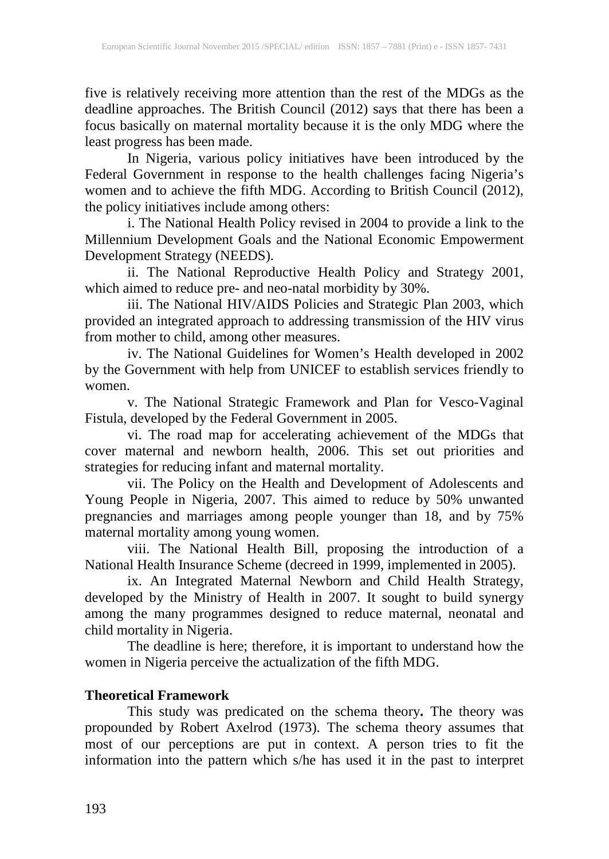five is relatively receiving more attention than the rest of the MDGs as the deadline approaches. The British Council (2012) says that there has been a focus basically on maternal mortality because it is the only MDG where the least progress has been made.

In Nigeria, various policy initiatives have been introduced by the Federal Government in response to the health challenges facing Nigeria's women and to achieve the fifth MDG. According to British Council (2012), the policy initiatives include among others:

i. The National Health Policy revised in 2004 to provide a link to the Millennium Development Goals and the National Economic Empowerment Development Strategy (NEEDS).

ii. The National Reproductive Health Policy and Strategy 2001, which aimed to reduce pre- and neo-natal morbidity by 30%.

iii. The National HIV/AIDS Policies and Strategic Plan 2003, which provided an integrated approach to addressing transmission of the HIV virus from mother to child, among other measures.

iv. The National Guidelines for Women's Health developed in 2002 by the Government with help from UNICEF to establish services friendly to women.

v. The National Strategic Framework and Plan for Vesco-Vaginal Fistula, developed by the Federal Government in 2005.

vi. The road map for accelerating achievement of the MDGs that cover maternal and newborn health, 2006. This set out priorities and strategies for reducing infant and maternal mortality.

vii. The Policy on the Health and Development of Adolescents and Young People in Nigeria, 2007. This aimed to reduce by 50% unwanted pregnancies and marriages among people younger than 18, and by 75% maternal mortality among young women.

viii. The National Health Bill, proposing the introduction of a National Health Insurance Scheme (decreed in 1999, implemented in 2005).

ix. An Integrated Maternal Newborn and Child Health Strategy, developed by the Ministry of Health in 2007. It sought to build synergy among the many programmes designed to reduce maternal, neonatal and child mortality in Nigeria.

The deadline is here; therefore, it is important to understand how the women in Nigeria perceive the actualization of the fifth MDG.

# **Theoretical Framework**

This study was predicated on the schema theory**.** The theory was propounded by Robert Axelrod (1973). The schema theory assumes that most of our perceptions are put in context. A person tries to fit the information into the pattern which s/he has used it in the past to interpret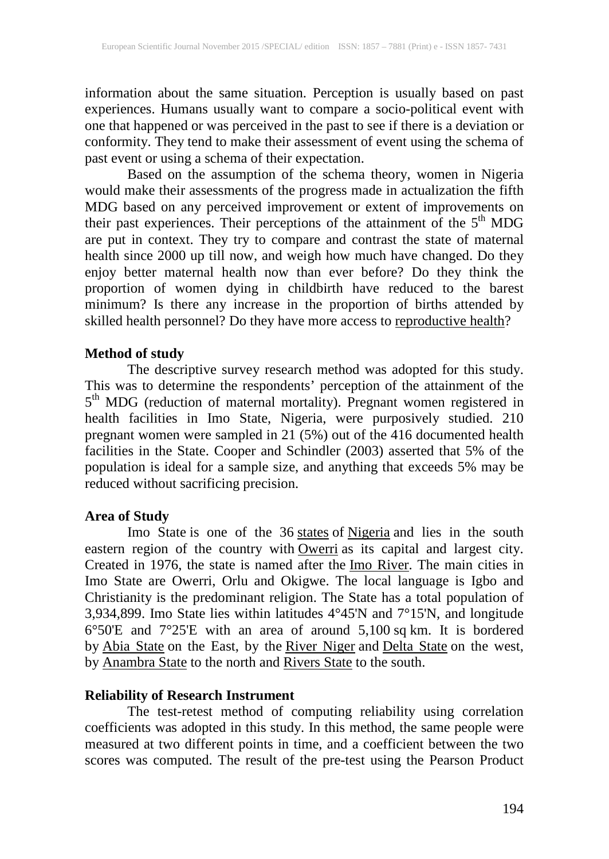information about the same situation. Perception is usually based on past experiences. Humans usually want to compare a socio-political event with one that happened or was perceived in the past to see if there is a deviation or conformity. They tend to make their assessment of event using the schema of past event or using a schema of their expectation.

Based on the assumption of the schema theory, women in Nigeria would make their assessments of the progress made in actualization the fifth MDG based on any perceived improvement or extent of improvements on their past experiences. Their perceptions of the attainment of the 5<sup>th</sup> MDG are put in context. They try to compare and contrast the state of maternal health since 2000 up till now, and weigh how much have changed. Do they enjoy better maternal health now than ever before? Do they think the proportion of women dying in childbirth have reduced to the barest minimum? Is there any increase in the proportion of births attended by skilled health personnel? Do they have more access to [reproductive health?](http://en.wikipedia.org/wiki/Reproductive_health)

## **Method of study**

The descriptive survey research method was adopted for this study. This was to determine the respondents' perception of the attainment of the 5<sup>th</sup> MDG (reduction of maternal mortality). Pregnant women registered in health facilities in Imo State, Nigeria, were purposively studied. 210 pregnant women were sampled in 21 (5%) out of the 416 documented health facilities in the State. Cooper and Schindler (2003) asserted that 5% of the population is ideal for a sample size, and anything that exceeds 5% may be reduced without sacrificing precision.

## **Area of Study**

Imo State is one of the 36 [states](https://en.wikipedia.org/wiki/States_of_Nigeria) of [Nigeria](https://en.wikipedia.org/wiki/Nigeria) and lies in the south eastern region of the country with [Owerri](https://en.wikipedia.org/wiki/Owerri) as its capital and largest city. Created in 1976, the state is named after the <u>Imo River</u>. The main cities in Imo State are Owerri, Orlu and Okigwe. The local language is Igbo and Christianity is the predominant religion. The State has a total population of 3,934,899. Imo State lies within latitudes 4°45'N and 7°15'N, and longitude 6°50'E and 7°25'E with an area of around 5,100 sq km. It is bordered by [Abia State](https://en.wikipedia.org/wiki/Abia_State) on the East, by the [River Niger](https://en.wikipedia.org/wiki/River_Niger) and [Delta State](https://en.wikipedia.org/wiki/Delta_State) on the west, by **[Anambra State](https://en.wikipedia.org/wiki/Anambra_State)** to the north and [Rivers State](https://en.wikipedia.org/wiki/Rivers_State) to the south.

## **Reliability of Research Instrument**

The test-retest method of computing reliability using correlation coefficients was adopted in this study. In this method, the same people were measured at two different points in time, and a coefficient between the two scores was computed. The result of the pre-test using the Pearson Product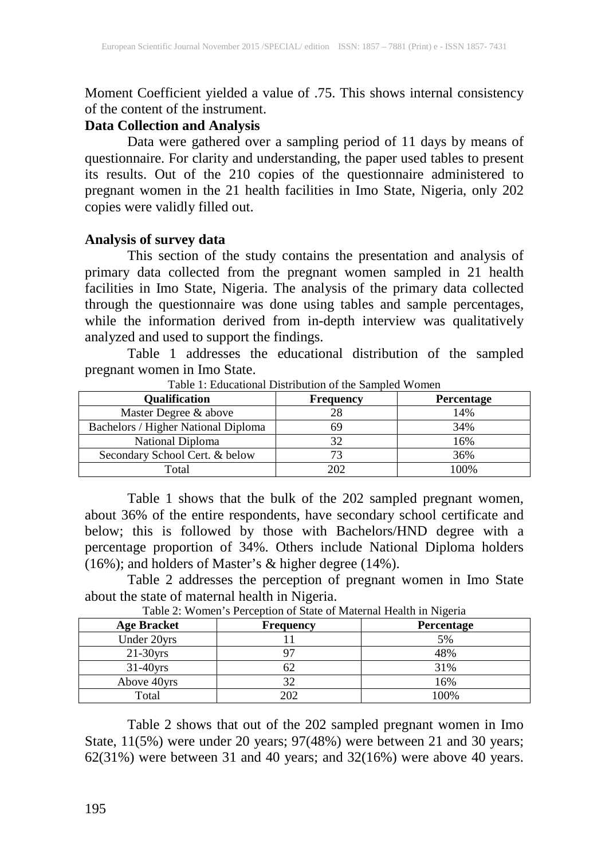Moment Coefficient yielded a value of .75. This shows internal consistency of the content of the instrument.

#### **Data Collection and Analysis**

Data were gathered over a sampling period of 11 days by means of questionnaire. For clarity and understanding, the paper used tables to present its results. Out of the 210 copies of the questionnaire administered to pregnant women in the 21 health facilities in Imo State, Nigeria, only 202 copies were validly filled out.

#### **Analysis of survey data**

This section of the study contains the presentation and analysis of primary data collected from the pregnant women sampled in 21 health facilities in Imo State, Nigeria. The analysis of the primary data collected through the questionnaire was done using tables and sample percentages, while the information derived from in-depth interview was qualitatively analyzed and used to support the findings.

Table 1 addresses the educational distribution of the sampled pregnant women in Imo State.

| <b>Qualification</b>                | <b>Frequency</b> | <b>Percentage</b> |
|-------------------------------------|------------------|-------------------|
| Master Degree & above               | 28               | 14%               |
| Bachelors / Higher National Diploma | 69               | 34%               |
| National Diploma                    | 32               | 16%               |
| Secondary School Cert. & below      |                  | 36%               |
| Total                               | 202              | 100%              |

Table 1: Educational Distribution of the Sampled Women

Table 1 shows that the bulk of the 202 sampled pregnant women, about 36% of the entire respondents, have secondary school certificate and below; this is followed by those with Bachelors/HND degree with a percentage proportion of 34%. Others include National Diploma holders (16%); and holders of Master's & higher degree (14%).

Table 2 addresses the perception of pregnant women in Imo State about the state of maternal health in Nigeria.

| <b>Age Bracket</b> | <b>Frequency</b> | <b>Percentage</b> |
|--------------------|------------------|-------------------|
| Under 20yrs        |                  | 5%                |
| $21-30$ yrs        |                  | 48%               |
| $31-40$ vrs        |                  | 31%               |
| Above 40yrs        | 32               | 16%               |
| Total              | 202              | 100%              |

Table 2: Women's Perception of State of Maternal Health in Nigeria

Table 2 shows that out of the 202 sampled pregnant women in Imo State, 11(5%) were under 20 years; 97(48%) were between 21 and 30 years; 62(31%) were between 31 and 40 years; and 32(16%) were above 40 years.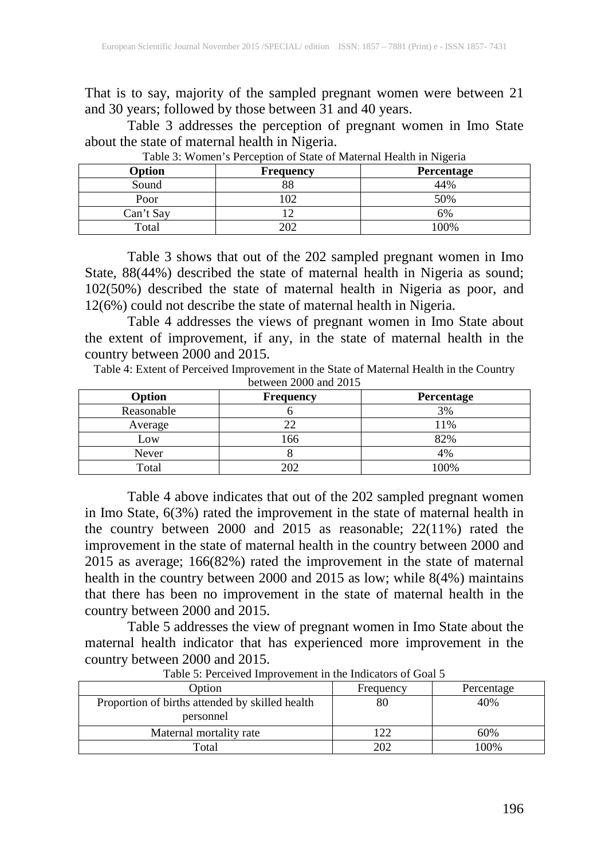That is to say, majority of the sampled pregnant women were between 21 and 30 years; followed by those between 31 and 40 years.

Table 3 addresses the perception of pregnant women in Imo State about the state of maternal health in Nigeria.

| Option    | <b>Frequency</b> | <b>Percentage</b> |
|-----------|------------------|-------------------|
| Sound     | 88               | 44%               |
| Poor      |                  | 50%               |
| Can't Say |                  | 6%                |
| Total     |                  | 00%               |

Table 3: Women's Perception of State of Maternal Health in Nigeria

Table 3 shows that out of the 202 sampled pregnant women in Imo State, 88(44%) described the state of maternal health in Nigeria as sound; 102(50%) described the state of maternal health in Nigeria as poor, and 12(6%) could not describe the state of maternal health in Nigeria.

Table 4 addresses the views of pregnant women in Imo State about the extent of improvement, if any, in the state of maternal health in the country between 2000 and 2015.

Table 4: Extent of Perceived Improvement in the State of Maternal Health in the Country between 2000 and 2015

| Option     | <b>Frequency</b> | Percentage |
|------------|------------------|------------|
| Reasonable |                  | 3%         |
| Average    | າາ               | 11%        |
| Low        | 166              | 82%        |
| Never      |                  | 4%         |
| Total      | າດາ              | 100%       |

Table 4 above indicates that out of the 202 sampled pregnant women in Imo State, 6(3%) rated the improvement in the state of maternal health in the country between 2000 and 2015 as reasonable; 22(11%) rated the improvement in the state of maternal health in the country between 2000 and 2015 as average; 166(82%) rated the improvement in the state of maternal health in the country between 2000 and 2015 as low; while 8(4%) maintains that there has been no improvement in the state of maternal health in the country between 2000 and 2015.

Table 5 addresses the view of pregnant women in Imo State about the maternal health indicator that has experienced more improvement in the country between 2000 and 2015.

| Option                                                       | Frequency | Percentage |
|--------------------------------------------------------------|-----------|------------|
| Proportion of births attended by skilled health<br>personnel | 80        | 40%        |
| Maternal mortality rate                                      | ר רו      | 60%        |
| Total                                                        | 202       | 100%       |

Table 5: Perceived Improvement in the Indicators of Goal 5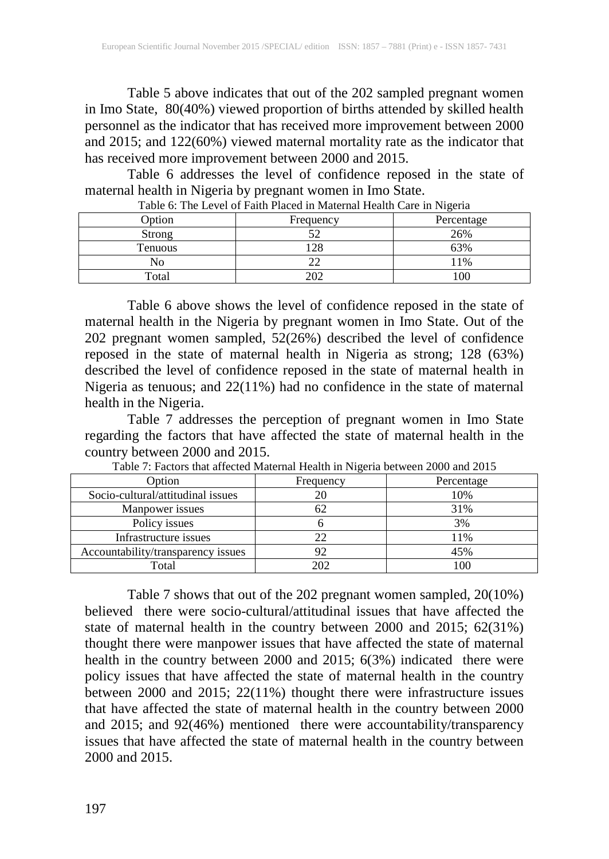Table 5 above indicates that out of the 202 sampled pregnant women in Imo State, 80(40%) viewed proportion of births attended by skilled health personnel as the indicator that has received more improvement between 2000 and 2015; and 122(60%) viewed maternal mortality rate as the indicator that has received more improvement between 2000 and 2015.

Table 6 addresses the level of confidence reposed in the state of maternal health in Nigeria by pregnant women in Imo State.

| Tuole of the Ee (of of I with I have in Material Health care in Figura |           |            |
|------------------------------------------------------------------------|-----------|------------|
| <b>D</b> otion                                                         | Frequency | Percentage |
| Strong                                                                 |           | 26%        |
| <b>Tenuous</b>                                                         | $\cap$    | 3%         |
|                                                                        |           | 1%         |
| Total                                                                  |           |            |

Table 6: The Level of Faith Placed in Maternal Health Care in Nigeria

Table 6 above shows the level of confidence reposed in the state of maternal health in the Nigeria by pregnant women in Imo State. Out of the 202 pregnant women sampled, 52(26%) described the level of confidence reposed in the state of maternal health in Nigeria as strong; 128 (63%) described the level of confidence reposed in the state of maternal health in Nigeria as tenuous; and 22(11%) had no confidence in the state of maternal health in the Nigeria.

Table 7 addresses the perception of pregnant women in Imo State regarding the factors that have affected the state of maternal health in the country between 2000 and 2015.

| <b>Option</b>                      | Frequency | Percentage |
|------------------------------------|-----------|------------|
| Socio-cultural/attitudinal issues  |           | 10%        |
| Manpower issues                    | 62        | 31%        |
| Policy issues                      |           | 3%         |
| Infrastructure issues              |           | 11%        |
| Accountability/transparency issues |           | 45%        |
| Total                              | 202       | 100        |

Table 7: Factors that affected Maternal Health in Nigeria between 2000 and 2015

Table 7 shows that out of the 202 pregnant women sampled, 20(10%) believed there were socio-cultural/attitudinal issues that have affected the state of maternal health in the country between 2000 and 2015; 62(31%) thought there were manpower issues that have affected the state of maternal health in the country between 2000 and 2015; 6(3%) indicated there were policy issues that have affected the state of maternal health in the country between 2000 and 2015; 22(11%) thought there were infrastructure issues that have affected the state of maternal health in the country between 2000 and 2015; and 92(46%) mentioned there were accountability/transparency issues that have affected the state of maternal health in the country between 2000 and 2015.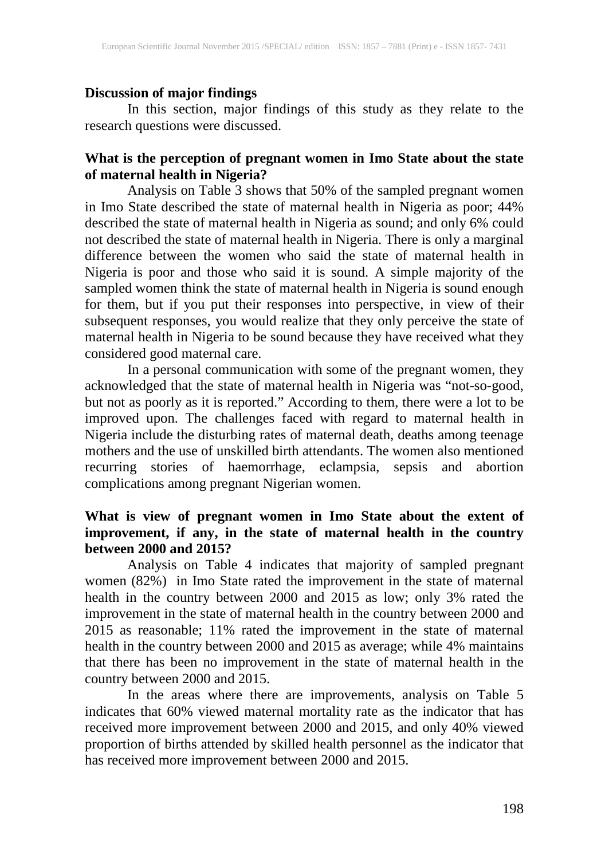#### **Discussion of major findings**

In this section, major findings of this study as they relate to the research questions were discussed.

## **What is the perception of pregnant women in Imo State about the state of maternal health in Nigeria?**

Analysis on Table 3 shows that 50% of the sampled pregnant women in Imo State described the state of maternal health in Nigeria as poor; 44% described the state of maternal health in Nigeria as sound; and only 6% could not described the state of maternal health in Nigeria. There is only a marginal difference between the women who said the state of maternal health in Nigeria is poor and those who said it is sound. A simple majority of the sampled women think the state of maternal health in Nigeria is sound enough for them, but if you put their responses into perspective, in view of their subsequent responses, you would realize that they only perceive the state of maternal health in Nigeria to be sound because they have received what they considered good maternal care.

In a personal communication with some of the pregnant women, they acknowledged that the state of maternal health in Nigeria was "not-so-good, but not as poorly as it is reported." According to them, there were a lot to be improved upon. The challenges faced with regard to maternal health in Nigeria include the disturbing rates of maternal death, deaths among teenage mothers and the use of unskilled birth attendants. The women also mentioned recurring stories of haemorrhage, eclampsia, sepsis and abortion complications among pregnant Nigerian women.

## **What is view of pregnant women in Imo State about the extent of improvement, if any, in the state of maternal health in the country between 2000 and 2015?**

Analysis on Table 4 indicates that majority of sampled pregnant women (82%) in Imo State rated the improvement in the state of maternal health in the country between 2000 and 2015 as low; only 3% rated the improvement in the state of maternal health in the country between 2000 and 2015 as reasonable; 11% rated the improvement in the state of maternal health in the country between 2000 and 2015 as average; while 4% maintains that there has been no improvement in the state of maternal health in the country between 2000 and 2015.

In the areas where there are improvements, analysis on Table 5 indicates that 60% viewed maternal mortality rate as the indicator that has received more improvement between 2000 and 2015, and only 40% viewed proportion of births attended by skilled health personnel as the indicator that has received more improvement between 2000 and 2015.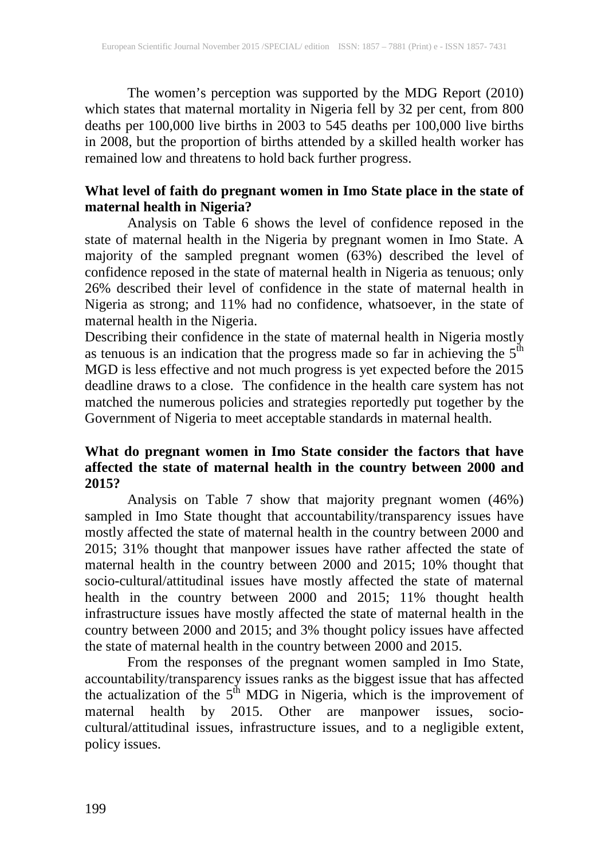The women's perception was supported by the MDG Report (2010) which states that maternal mortality in Nigeria fell by 32 per cent, from 800 deaths per 100,000 live births in 2003 to 545 deaths per 100,000 live births in 2008, but the proportion of births attended by a skilled health worker has remained low and threatens to hold back further progress.

## **What level of faith do pregnant women in Imo State place in the state of maternal health in Nigeria?**

Analysis on Table 6 shows the level of confidence reposed in the state of maternal health in the Nigeria by pregnant women in Imo State. A majority of the sampled pregnant women (63%) described the level of confidence reposed in the state of maternal health in Nigeria as tenuous; only 26% described their level of confidence in the state of maternal health in Nigeria as strong; and 11% had no confidence, whatsoever, in the state of maternal health in the Nigeria.

Describing their confidence in the state of maternal health in Nigeria mostly as tenuous is an indication that the progress made so far in achieving the  $5<sup>th</sup>$ MGD is less effective and not much progress is yet expected before the 2015 deadline draws to a close. The confidence in the health care system has not matched the numerous policies and strategies reportedly put together by the Government of Nigeria to meet acceptable standards in maternal health.

## **What do pregnant women in Imo State consider the factors that have affected the state of maternal health in the country between 2000 and 2015?**

Analysis on Table 7 show that majority pregnant women (46%) sampled in Imo State thought that accountability/transparency issues have mostly affected the state of maternal health in the country between 2000 and 2015; 31% thought that manpower issues have rather affected the state of maternal health in the country between 2000 and 2015; 10% thought that socio-cultural/attitudinal issues have mostly affected the state of maternal health in the country between 2000 and 2015; 11% thought health infrastructure issues have mostly affected the state of maternal health in the country between 2000 and 2015; and 3% thought policy issues have affected the state of maternal health in the country between 2000 and 2015.

From the responses of the pregnant women sampled in Imo State, accountability/transparency issues ranks as the biggest issue that has affected the actualization of the  $5<sup>th</sup>$  MDG in Nigeria, which is the improvement of maternal health by 2015. Other are manpower issues, sociocultural/attitudinal issues, infrastructure issues, and to a negligible extent, policy issues.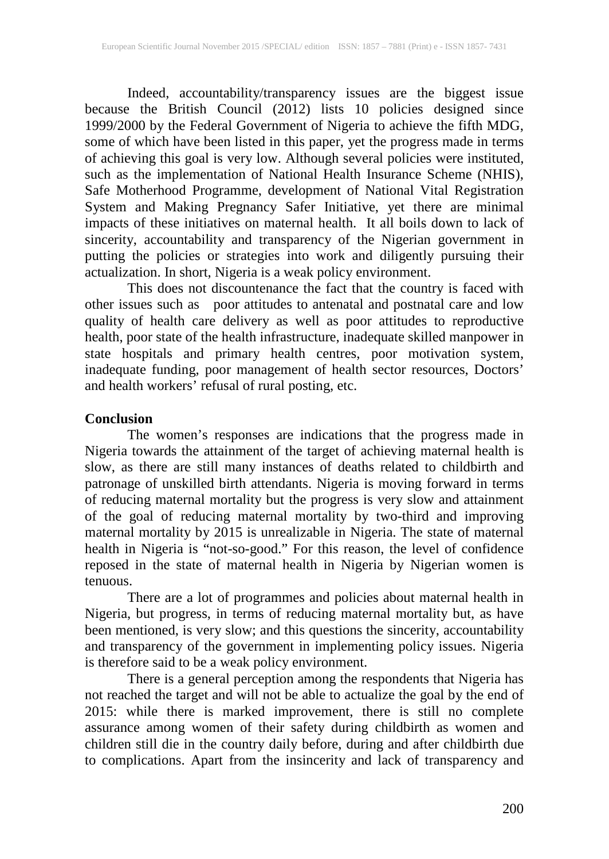Indeed, accountability/transparency issues are the biggest issue because the British Council (2012) lists 10 policies designed since 1999/2000 by the Federal Government of Nigeria to achieve the fifth MDG, some of which have been listed in this paper, yet the progress made in terms of achieving this goal is very low. Although several policies were instituted, such as the implementation of National Health Insurance Scheme (NHIS), Safe Motherhood Programme, development of National Vital Registration System and Making Pregnancy Safer Initiative, yet there are minimal impacts of these initiatives on maternal health. It all boils down to lack of sincerity, accountability and transparency of the Nigerian government in putting the policies or strategies into work and diligently pursuing their actualization. In short, Nigeria is a weak policy environment.

This does not discountenance the fact that the country is faced with other issues such as poor attitudes to antenatal and postnatal care and low quality of health care delivery as well as poor attitudes to reproductive health, poor state of the health infrastructure, inadequate skilled manpower in state hospitals and primary health centres, poor motivation system, inadequate funding, poor management of health sector resources, Doctors' and health workers' refusal of rural posting, etc.

#### **Conclusion**

The women's responses are indications that the progress made in Nigeria towards the attainment of the target of achieving maternal health is slow, as there are still many instances of deaths related to childbirth and patronage of unskilled birth attendants. Nigeria is moving forward in terms of reducing maternal mortality but the progress is very slow and attainment of the goal of reducing maternal mortality by two-third and improving maternal mortality by 2015 is unrealizable in Nigeria. The state of maternal health in Nigeria is "not-so-good." For this reason, the level of confidence reposed in the state of maternal health in Nigeria by Nigerian women is tenuous.

There are a lot of programmes and policies about maternal health in Nigeria, but progress, in terms of reducing maternal mortality but, as have been mentioned, is very slow; and this questions the sincerity, accountability and transparency of the government in implementing policy issues. Nigeria is therefore said to be a weak policy environment.

There is a general perception among the respondents that Nigeria has not reached the target and will not be able to actualize the goal by the end of 2015: while there is marked improvement, there is still no complete assurance among women of their safety during childbirth as women and children still die in the country daily before, during and after childbirth due to complications. Apart from the insincerity and lack of transparency and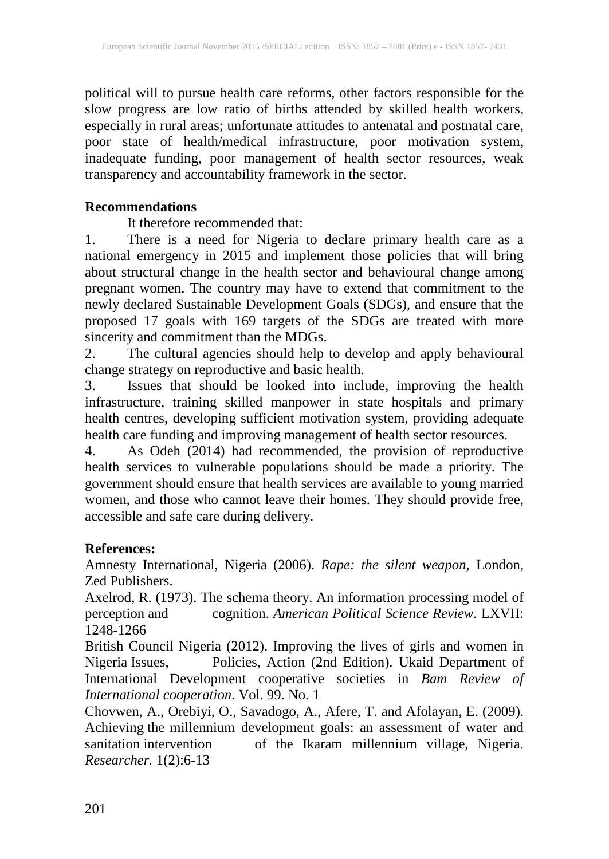political will to pursue health care reforms, other factors responsible for the slow progress are low ratio of births attended by skilled health workers, especially in rural areas; unfortunate attitudes to antenatal and postnatal care, poor state of health/medical infrastructure, poor motivation system, inadequate funding, poor management of health sector resources, weak transparency and accountability framework in the sector.

#### **Recommendations**

It therefore recommended that:

1. There is a need for Nigeria to declare primary health care as a national emergency in 2015 and implement those policies that will bring about structural change in the health sector and behavioural change among pregnant women. The country may have to extend that commitment to the newly declared Sustainable Development Goals (SDGs), and ensure that the proposed 17 goals with 169 targets of the SDGs are treated with more sincerity and commitment than the MDGs.

2. The cultural agencies should help to develop and apply behavioural change strategy on reproductive and basic health.

3. Issues that should be looked into include, improving the health infrastructure, training skilled manpower in state hospitals and primary health centres, developing sufficient motivation system, providing adequate health care funding and improving management of health sector resources.

4. As Odeh (2014) had recommended, the provision of reproductive health services to vulnerable populations should be made a priority. The government should ensure that health services are available to young married women, and those who cannot leave their homes. They should provide free, accessible and safe care during delivery.

## **References:**

Amnesty International, Nigeria (2006). *Rape: the silent weapon*, London, Zed Publishers.

Axelrod, R. (1973). The schema theory. An information processing model of perception and cognition. *American Political Science Review*. LXVII: 1248-1266

British Council Nigeria (2012). Improving the lives of girls and women in Nigeria Issues, Policies, Action (2nd Edition). Ukaid Department of International Development cooperative societies in *Bam Review of International cooperation*. Vol. 99. No. 1

Chovwen, A., Orebiyi, O., Savadogo, A., Afere, T. and Afolayan, E. (2009). Achieving the millennium development goals: an assessment of water and sanitation intervention of the Ikaram millennium village, Nigeria. *Researcher.* 1(2):6-13